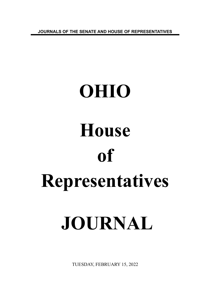**JOURNALS OF THE SENATE AND HOUSE OF REPRESENTATIVES**

# **OHIO House of Representatives JOURNAL**

TUESDAY, FEBRUARY 15, 2022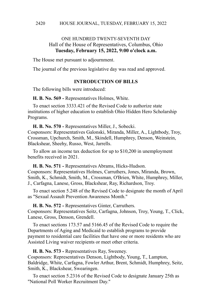# ONE HUNDRED TWENTY-SEVENTH DAY Hall of the House of Representatives, Columbus, Ohio **Tuesday, February 15, 2022, 9:00 o'clock a.m.**

The House met pursuant to adjournment.

The journal of the previous legislative day was read and approved.

### **INTRODUCTION OF BILLS**

The following bills were introduced:

**H. B. No. 569 -** Representatives Holmes, White.

To enact section 3333.421 of the Revised Code to authorize state institutions of higher education to establish Ohio Hidden Hero Scholarship Programs.

**H. B. No. 570 -** Representatives Miller, J., Sobecki.

Cosponsors: Representatives Galonski, Miranda, Miller, A., Lightbody, Troy, Crossman, Upchurch, Smith, M., Skindell, Humphrey, Denson, Weinstein, Blackshear, Sheehy, Russo, West, Jarrells.

To allow an income tax deduction for up to \$10,200 in unemployment benefits received in 2021.

**H. B. No. 571 -** Representatives Abrams, Hicks-Hudson. Cosponsors: Representatives Holmes, Carruthers, Jones, Miranda, Brown, Smith, K., Schmidt, Smith, M., Crossman, O'Brien, White, Humphrey, Miller, J., Carfagna, Lanese, Gross, Blackshear, Ray, Richardson, Troy.

To enact section 5.248 of the Revised Code to designate the month of April as "Sexual Assault Prevention Awareness Month."

**H. B. No. 572 -** Representatives Ginter, Carruthers.

Cosponsors: Representatives Seitz, Carfagna, Johnson, Troy, Young, T., Click, Lanese, Gross, Denson, Grendell.

To enact sections 173.57 and 5166.45 of the Revised Code to require the Departments of Aging and Medicaid to establish programs to provide payment to residential care facilities that have one or more residents who are Assisted Living waiver recipients or meet other criteria.

# **H. B. No. 573 -** Representatives Ray, Sweeney.

Cosponsors: Representatives Denson, Lightbody, Young, T., Lampton, Baldridge, White, Carfagna, Fowler Arthur, Brent, Schmidt, Humphrey, Seitz, Smith, K., Blackshear, Swearingen.

To enact section 5.2316 of the Revised Code to designate January 25th as "National Poll Worker Recruitment Day."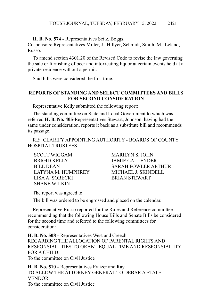**H. B. No. 574 -** Representatives Seitz, Boggs.

Cosponsors: Representatives Miller, J., Hillyer, Schmidt, Smith, M., Leland, Russo.

To amend section 4301.20 of the Revised Code to revise the law governing the sale or furnishing of beer and intoxicating liquor at certain events held at a private residence without a permit.

Said bills were considered the first time.

## **REPORTS OF STANDING AND SELECT COMMITTEES AND BILLS FOR SECOND CONSIDERATION**

Representative Kelly submitted the following report:

The standing committee on State and Local Government to which was referred **H. B. No. 405**-Representatives Stewart, Johnson, having had the same under consideration, reports it back as a substitute bill and recommends its passage.

RE: CLARIFY APPOINTING AUTHORITY - BOARDS OF COUNTY HOSPITAL TRUSTEES

SCOTT WIGGAM MARILYN S. JOHN BRIGID KELLY JAMIE CALLENDER LATYNA M. HUMPHREY MICHAEL J. SKINDELL LISA A. SOBECKI BRIAN STEWART SHANE WILKIN

BILL DEAN SARAH FOWLER ARTHUR

The report was agreed to.

The bill was ordered to be engrossed and placed on the calendar.

Representative Russo reported for the Rules and Reference committee recommending that the following House Bills and Senate Bills be considered for the second time and referred to the following committees for consideration:

**H. B. No. 508** - Representatives West and Creech REGARDING THE ALLOCATION OF PARENTAL RIGHTS AND RESPONSIBILITIES TO GRANT EQUAL TIME AND RESPONSIBILITY FOR A CHILD.

To the committee on Civil Justice

**H. B. No. 510** - Representatives Fraizer and Ray TO ALLOW THE ATTORNEY GENERAL TO DEBAR A STATE VENDOR. To the committee on Civil Justice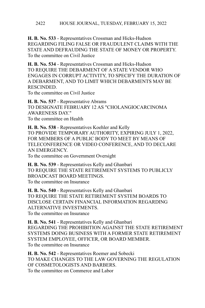**H. B. No. 533** - Representatives Crossman and Hicks-Hudson REGARDING FILING FALSE OR FRAUDULENT CLAIMS WITH THE STATE AND DEFRAUDING THE STATE OF MONEY OR PROPERTY. To the committee on Civil Justice

**H. B. No. 534** - Representatives Crossman and Hicks-Hudson TO REQUIRE THE DEBARMENT OF A STATE VENDOR WHO ENGAGES IN CORRUPT ACTIVITY, TO SPECIFY THE DURATION OF A DEBARMENT, AND TO LIMIT WHICH DEBARMENTS MAY BE RESCINDED.

To the committee on Civil Justice

**H. B. No. 537** - Representative Abrams TO DESIGNATE FEBRUARY 12 AS "CHOLANGIOCARCINOMA AWARENESS DAY." To the committee on Health

**H. B. No. 538** - Representatives Koehler and Kelly TO PROVIDE TEMPORARY AUTHORITY, EXPIRING JULY 1, 2022, FOR MEMBERS OF A PUBLIC BODY TO MEET BY MEANS OF TELECONFERENCE OR VIDEO CONFERENCE, AND TO DECLARE AN EMERGENCY. To the committee on Government Oversight

**H. B. No. 539** - Representatives Kelly and Ghanbari TO REQUIRE THE STATE RETIREMENT SYSTEMS TO PUBLICLY BROADCAST BOARD MEETINGS. To the committee on Insurance

**H. B. No. 540** - Representatives Kelly and Ghanbari TO REQUIRE THE STATE RETIREMENT SYSTEM BOARDS TO DISCLOSE CERTAIN FINANCIAL INFORMATION REGARDING ALTERNATIVE INVESTMENTS. To the committee on Insurance

**H. B. No. 541** - Representatives Kelly and Ghanbari REGARDING THE PROHIBITION AGAINST THE STATE RETIREMENT SYSTEMS DOING BUSINESS WITH A FORMER STATE RETIREMENT SYSTEM EMPLOYEE, OFFICER, OR BOARD MEMBER. To the committee on Insurance

**H. B. No. 542** - Representatives Roemer and Sobecki TO MAKE CHANGES TO THE LAW GOVERNING THE REGULATION OF COSMETOLOGISTS AND BARBERS. To the committee on Commerce and Labor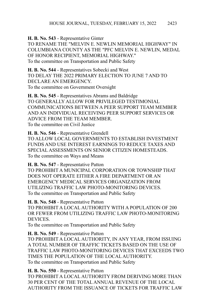**H. B. No. 543** - Representative Ginter

TO RENAME THE "MELVIN E. NEWLIN MEMORIAL HIGHWAY" IN COLUMBIANA COUNTY AS THE "PFC MELVIN E. NEWLIN, MEDAL OF HONOR RECIPIENT, MEMORIAL HIGHWAY." To the committee on Transportation and Public Safety

**H. B. No. 544** - Representatives Sobecki and West TO DELAY THE 2022 PRIMARY ELECTION TO JUNE 7 AND TO DECLARE AN EMERGENCY. To the committee on Government Oversight

**H. B. No. 545** - Representatives Abrams and Baldridge TO GENERALLY ALLOW FOR PRIVILEGED TESTIMONIAL COMMUNICATIONS BETWEEN A PEER SUPPORT TEAM MEMBER AND AN INDIVIDUAL RECEIVING PEER SUPPORT SERVICES OR ADVICE FROM THE TEAM MEMBER. To the committee on Civil Justice

**H. B. No. 546** - Representative Grendell TO ALLOW LOCAL GOVERNMENTS TO ESTABLISH INVESTMENT FUNDS AND USE INTEREST EARNINGS TO REDUCE TAXES AND SPECIAL ASSESSMENTS ON SENIOR CITIZEN HOMESTEADS. To the committee on Ways and Means

**H. B. No. 547** - Representative Patton TO PROHIBIT A MUNICIPAL CORPORATION OR TOWNSHIP THAT DOES NOT OPERATE EITHER A FIRE DEPARTMENT OR AN EMERGENCY MEDICAL SERVICES ORGANIZATION FROM UTILIZING TRAFFIC LAW PHOTO-MONITORING DEVICES. To the committee on Transportation and Public Safety

**H. B. No. 548** - Representative Patton TO PROHIBIT A LOCAL AUTHORITY WITH A POPULATION OF 200 OR FEWER FROM UTILIZING TRAFFIC LAW PHOTO-MONITORING DEVICES.

To the committee on Transportation and Public Safety

**H. B. No. 549** - Representative Patton TO PROHIBIT A LOCAL AUTHORITY, IN ANY YEAR, FROM ISSUING A TOTAL NUMBER OF TRAFFIC TICKETS BASED ON THE USE OF TRAFFIC LAW PHOTO-MONITORING DEVICES THAT EXCEEDS TWO TIMES THE POPULATION OF THE LOCAL AUTHORITY. To the committee on Transportation and Public Safety

**H. B. No. 550** - Representative Patton TO PROHIBIT A LOCAL AUTHORITY FROM DERIVING MORE THAN 30 PER CENT OF THE TOTAL ANNUAL REVENUE OF THE LOCAL AUTHORITY FROM THE ISSUANCE OF TICKETS FOR TRAFFIC LAW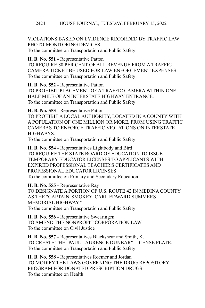#### HOUSE JOURNAL, TUESDAY, FEBRUARY 15, 2022 2424

VIOLATIONS BASED ON EVIDENCE RECORDED BY TRAFFIC LAW PHOTO-MONITORING DEVICES.

To the committee on Transportation and Public Safety

**H. B. No. 551** - Representative Patton

TO REQUIRE 80 PER CENT OF ALL REVENUE FROM A TRAFFIC CAMERA TICKET BE USED FOR LAW ENFORCEMENT EXPENSES. To the committee on Transportation and Public Safety

**H. B. No. 552** - Representative Patton TO PROHIBIT PLACEMENT OF A TRAFFIC CAMERA WITHIN ONE-HALF MILE OF AN INTERSTATE HIGHWAY ENTRANCE. To the committee on Transportation and Public Safety

**H. B. No. 553** - Representative Patton

TO PROHIBIT A LOCAL AUTHORITY, LOCATED IN A COUNTY WITH A POPULATION OF ONE MILLION OR MORE, FROM USING TRAFFIC CAMERAS TO ENFORCE TRAFFIC VIOLATIONS ON INTERSTATE **HIGHWAYS** 

To the committee on Transportation and Public Safety

**H. B. No. 554** - Representatives Lightbody and Bird TO REQUIRE THE STATE BOARD OF EDUCATION TO ISSUE TEMPORARY EDUCATOR LICENSES TO APPLICANTS WITH EXPIRED PROFESSIONAL TEACHER'S CERTIFICATES AND PROFESSIONAL EDUCATOR LICENSES. To the committee on Primary and Secondary Education

**H. B. No. 555** - Representative Ray TO DESIGNATE A PORTION OF U.S. ROUTE 42 IN MEDINA COUNTY AS THE "CAPTAIN 'SMOKEY' CARL EDWARD SUMMERS MEMORIAL HIGHWAY." To the committee on Transportation and Public Safety

**H. B. No. 556** - Representative Swearingen TO AMEND THE NONPROFIT CORPORATION LAW. To the committee on Civil Justice

**H. B. No. 557** - Representatives Blackshear and Smith, K. TO CREATE THE "PAUL LAURENCE DUNBAR" LICENSE PLATE. To the committee on Transportation and Public Safety

**H. B. No. 558** - Representatives Roemer and Jordan TO MODIFY THE LAWS GOVERNING THE DRUG REPOSITORY PROGRAM FOR DONATED PRESCRIPTION DRUGS. To the committee on Health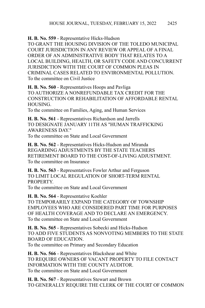**H. B. No. 559** - Representative Hicks-Hudson

TO GRANT THE HOUSING DIVISION OF THE TOLEDO MUNICIPAL COURT JURISDICTION IN ANY REVIEW OR APPEAL OF A FINAL ORDER OF AN ADMINISTRATIVE BODY THAT RELATES TO A LOCAL BUILDING, HEALTH, OR SAFETY CODE AND CONCURRENT JURISDICTION WITH THE COURT OF COMMON PLEAS IN CRIMINAL CASES RELATED TO ENVIRONMENTAL POLLUTION. To the committee on Civil Justice

**H. B. No. 560** - Representatives Hoops and Pavliga TO AUTHORIZE A NONREFUNDABLE TAX CREDIT FOR THE CONSTRUCTION OR REHABILITATION OF AFFORDABLE RENTAL HOUSING.

To the committee on Families, Aging, and Human Services

**H. B. No. 561** - Representatives Richardson and Jarrells TO DESIGNATE JANUARY 11TH AS "HUMAN TRAFFICKING AWARENESS DAY." To the committee on State and Local Government

**H. B. No. 562** - Representatives Hicks-Hudson and Miranda REGARDING ADJUSTMENTS BY THE STATE TEACHERS RETIREMENT BOARD TO THE COST-OF-LIVING ADJUSTMENT. To the committee on Insurance

**H. B. No. 563** - Representatives Fowler Arthur and Ferguson TO LIMIT LOCAL REGULATION OF SHORT-TERM RENTAL PROPERTY.

To the committee on State and Local Government

**H. B. No. 564** - Representative Koehler TO TEMPORARILY EXPAND THE CATEGORY OF TOWNSHIP EMPLOYEES WHO ARE CONSIDERED PART TIME FOR PURPOSES OF HEALTH COVERAGE AND TO DECLARE AN EMERGENCY. To the committee on State and Local Government

**H. B. No. 565** - Representatives Sobecki and Hicks-Hudson TO ADD FIVE STUDENTS AS NONVOTING MEMBERS TO THE STATE BOARD OF EDUCATION. To the committee on Primary and Secondary Education

**H. B. No. 566** - Representatives Blackshear and White TO REQUIRE OWNERS OF VACANT PROPERTY TO FILE CONTACT INFORMATION WITH THE COUNTY AUDITOR. To the committee on State and Local Government

**H. B. No. 567** - Representatives Stewart and Brown TO GENERALLY REQUIRE THE CLERK OF THE COURT OF COMMON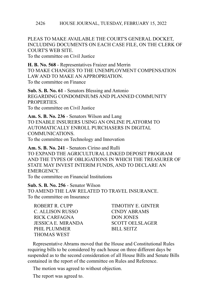PLEAS TO MAKE AVAILABLE THE COURT'S GENERAL DOCKET, INCLUDING DOCUMENTS ON EACH CASE FILE, ON THE CLERK OF COURT'S WEB SITE.

To the committee on Civil Justice

**H. B. No. 568** - Representatives Fraizer and Merrin TO MAKE CHANGES TO THE UNEMPLOYMENT COMPENSATION LAW AND TO MAKE AN APPROPRIATION. To the committee on Finance

**Sub. S. B. No. 61** - Senators Blessing and Antonio REGARDING CONDOMINIUMS AND PLANNED COMMUNITY **PROPERTIES** To the committee on Civil Justice

**Am. S. B. No. 236** - Senators Wilson and Lang TO ENABLE INSURERS USING AN ONLINE PLATFORM TO AUTOMATICALLY ENROLL PURCHASERS IN DIGITAL COMMUNICATIONS. To the committee on Technology and Innovation

**Am. S. B. No. 241** - Senators Cirino and Rulli TO EXPAND THE AGRICULTURAL LINKED DEPOSIT PROGRAM AND THE TYPES OF OBLIGATIONS IN WHICH THE TREASURER OF STATE MAY INVEST INTERIM FUNDS, AND TO DECLARE AN **EMERGENCY** 

To the committee on Financial Institutions

**Sub. S. B. No. 256** - Senator Wilson TO AMEND THE LAW RELATED TO TRAVEL INSURANCE. To the committee on Insurance

| ROBERT R. CUPP          | <b>TIMOTHY E. GINTER</b> |
|-------------------------|--------------------------|
| <b>C. ALLISON RUSSO</b> | CINDY ABRAMS             |
| RICK CARFAGNA           | <b>DON JONES</b>         |
| JESSICA E. MIRANDA      | <b>SCOTT OELSLAGER</b>   |
| PHIL PLUMMER            | BILL SEITZ               |
| <b>THOMAS WEST</b>      |                          |

Representative Abrams moved that the House and Constitutional Rules requiring bills to be considered by each house on three different days be suspended as to the second consideration of all House Bills and Senate Bills contained in the report of the committee on Rules and Reference.

The motion was agreed to without objection.

The report was agreed to.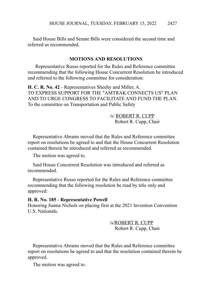Said House Bills and Senate Bills were considered the second time and referred as recommended.

### **MOTIONS AND RESOLUTIONS**

 Representative Russo reported for the Rules and Reference committee recommending that the following House Concurrent Resolution be introduced and referred to the following committee for consideration:

**H. C. R. No. 42** - Representatives Sheehy and Miller, A. TO EXPRESS SUPPORT FOR THE "AMTRAK CONNECTS US" PLAN AND TO URGE CONGRESS TO FACILITATE AND FUND THE PLAN. To the committee on Transportation and Public Safety

> /s/ ROBERT R. CUPP Robert R. Cupp, Chair

Representative Abrams moved that the Rules and Reference committee report on resolutions be agreed to and that the House Concurrent Resolution contained therein be introduced and referred as recommended.

The motion was agreed to.

Said House Concurrent Resolution was introduced and referred as recommended.

Representative Russo reported for the Rules and Reference committee recommending that the following resolution be read by title only and approved:

#### **H. R. No. 185** - **Representative Powell**

Honoring Jianna Nichols on placing first at the 2021 Invention Convention U.S. Nationals.

> /s/ROBERT R. CUPP Robert R. Cupp, Chair

Representative Abrams moved that the Rules and Reference committee report on resolutions be agreed to and that the resolution contained therein be approved.

The motion was agreed to.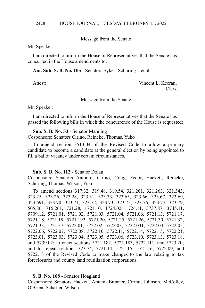Message from the Senate

Mr. Speaker:

I am directed to inform the House of Representatives that the Senate has concurred in the House amendments to:

**Am. Sub. S. B. No. 105** - Senators Sykes, Schuring – et al.

Attest: Vincent L. Keeran, Clerk.

Message from the Senate

Mr. Speaker:

I am directed to inform the House of Representatives that the Senate has passed the following bills in which the concurrence of the House is requested:

**Sub. S. B. No. 53** - Senator Manning Cosponsors: Senators Cirino, Reineke, Thomas, Yuko

To amend section 3513.04 of the Revised Code to allow a primary candidate to become a candidate at the general election by being appointed to fill a ballot vacancy under certain circumstances.

#### **Sub. S. B. No. 112** - Senator Dolan

Cosponsors: Senators Antonio, Cirino, Craig, Fedor, Hackett, Reineke, Schuring, Thomas, Wilson, Yuko

To amend sections 317.32, 319.48, 319.54, 321.261, 321.263, 321.343, 323.25, 323.26, 323.28, 323.31, 323.33, 323.65, 323.66, 323.67, 323.69, 323.691, 323.70, 323.71, 323.72, 323.73, 323.75, 323.76, 323.77, 323.79, 505.86, 715.261, 721.28, 1721.10, 1724.02, 1724.11, 3737.87, 3745.11, 5709.12, 5721.01, 5721.02, 5721.03, 5721.04, 5721.06, 5721.13, 5721.17, 5721.18, 5721.19, 5721.192, 5721.20, 5721.25, 5721.26, 5721.30, 5721.32, 5721.33, 5721.37, 5722.01, 5722.02, 5722.03, 5722.031, 5722.04, 5722.05, 5722.06, 5722.07, 5722.08, 5722.10, 5722.11, 5722.14, 5722.15, 5722.21, 5723.01, 5723.03, 5723.04, 5723.05, 5723.06, 5723.10, 5723.13, 5723.18, and 5739.02; to enact sections 5721.182, 5721.183, 5722.111, and 5723.20; and to repeal sections 323.74, 5721.14, 5721.15, 5721.16, 5722.09, and 5722.13 of the Revised Code to make changes to the law relating to tax foreclosures and county land reutilization corporations.

### **S. B. No. 168** - Senator Hoagland

Cosponsors: Senators Hackett, Antani, Brenner, Cirino, Johnson, McColley, O'Brien, Schaffer, Wilson